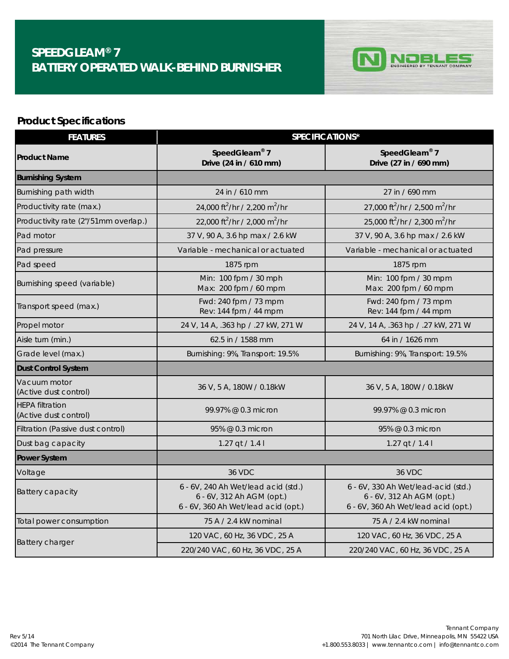## **SPEEDGLEAM® 7 BATTERY OPERATED WALK-BEHIND BURNISHER**



## **Product Specifications**

| <b>FEATURES</b>                                 | SPECIFICATIONS*                                                                                         |                                                                                                         |  |
|-------------------------------------------------|---------------------------------------------------------------------------------------------------------|---------------------------------------------------------------------------------------------------------|--|
| <b>Product Name</b>                             | SpeedGleam® 7<br>Drive (24 in / 610 mm)                                                                 | SpeedGleam® 7<br>Drive (27 in / 690 mm)                                                                 |  |
| <b>Burnishing System</b>                        |                                                                                                         |                                                                                                         |  |
| Burnishing path width                           | 24 in / 610 mm                                                                                          | 27 in / 690 mm                                                                                          |  |
| Productivity rate (max.)                        | 24,000 ft <sup>2</sup> /hr / 2,200 m <sup>2</sup> /hr                                                   | 27,000 ft <sup>2</sup> /hr / 2,500 m <sup>2</sup> /hr                                                   |  |
| Productivity rate (2"/51mm overlap.)            | 22,000 ft <sup>2</sup> /hr / 2,000 m <sup>2</sup> /hr                                                   | 25,000 ft <sup>2</sup> /hr / 2,300 m <sup>2</sup> /hr                                                   |  |
| Pad motor                                       | 37 V, 90 A, 3.6 hp max / 2.6 kW                                                                         | 37 V, 90 A, 3.6 hp max / 2.6 kW                                                                         |  |
| Pad pressure                                    | Variable - mechanical or actuated                                                                       | Variable - mechanical or actuated                                                                       |  |
| Pad speed                                       | 1875 rpm                                                                                                | 1875 rpm                                                                                                |  |
| Burnishing speed (variable)                     | Min: 100 fpm / 30 mph<br>Max: 200 fpm / 60 mpm                                                          | Min: 100 fpm / 30 mpm<br>Max: 200 fpm / 60 mpm                                                          |  |
| Transport speed (max.)                          | Fwd: 240 fpm / 73 mpm<br>Rev: 144 fpm / 44 mpm                                                          | Fwd: 240 fpm / 73 mpm<br>Rev: 144 fpm / 44 mpm                                                          |  |
| Propel motor                                    | 24 V, 14 A, .363 hp / .27 kW, 271 W                                                                     | 24 V, 14 A, .363 hp / .27 kW, 271 W                                                                     |  |
| Aisle turn (min.)                               | 62.5 in / 1588 mm                                                                                       | 64 in / 1626 mm                                                                                         |  |
| Grade level (max.)                              | Burnishing: 9%, Transport: 19.5%                                                                        | Burnishing: 9%, Transport: 19.5%                                                                        |  |
| <b>Dust Control System</b>                      |                                                                                                         |                                                                                                         |  |
| Vacuum motor<br>(Active dust control)           | 36 V, 5 A, 180W / 0.18kW                                                                                | 36 V, 5 A, 180W / 0.18kW                                                                                |  |
| <b>HEPA filtration</b><br>(Active dust control) | 99.97% @ 0.3 micron                                                                                     | 99.97% @ 0.3 micron                                                                                     |  |
| Filtration (Passive dust control)               | 95% @ 0.3 micron                                                                                        | 95% @ 0.3 micron                                                                                        |  |
| Dust bag capacity                               | 1.27 qt / 1.4 l                                                                                         | 1.27 qt / 1.4 l                                                                                         |  |
| <b>Power System</b>                             |                                                                                                         |                                                                                                         |  |
| Voltage                                         | <b>36 VDC</b>                                                                                           | 36 VDC                                                                                                  |  |
| Battery capacity                                | 6 - 6V, 240 Ah Wet/lead acid (std.)<br>6 - 6V, 312 Ah AGM (opt.)<br>6 - 6V, 360 Ah Wet/lead acid (opt.) | 6 - 6V, 330 Ah Wet/lead-acid (std.)<br>6 - 6V, 312 Ah AGM (opt.)<br>6 - 6V, 360 Ah Wet/lead acid (opt.) |  |
| Total power consumption                         | 75 A / 2.4 kW nominal                                                                                   | 75 A / 2.4 kW nominal                                                                                   |  |
| Battery charger                                 | 120 VAC, 60 Hz, 36 VDC, 25 A                                                                            | 120 VAC, 60 Hz, 36 VDC, 25 A                                                                            |  |
|                                                 | 220/240 VAC, 60 Hz, 36 VDC, 25 A                                                                        | 220/240 VAC, 60 Hz, 36 VDC, 25 A                                                                        |  |